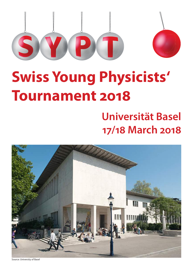

# **Swiss Young Physicists' Tournament 2018**

## **Universität Basel 17/18 March 2018**



Source: University of Basel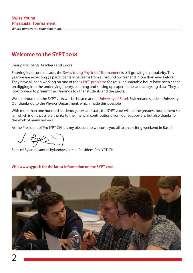## **Welcome to the SYPT 2018**

Dear participants, teachers and jurors

Entering its second decade, the Swiss Young Physicists' Tournament is still growing in popularity. This year we are expecting 75 participants in 25 teams from all around Switzerland, more than ever before! They have all been working on one of the 17 IYPT problems for 2018. Innumerable hours have been spent on digging into the underlying theory, planning and setting up experiments and analysing data . They all look forward to present their findings to other students and the jurors.

We are proud that the SYPT 2018 will be hosted at the University of Basel, Switzerland's oldest University. Our thanks go to the Physics Department, which made this possible.

With more than one hundred students, jurors and staff, the SYPT 2018 will be the greatest tournament so far, which is only possible thanks to the financial contributions from our supporters, but also thanks to the work of many helpers.

As the President of Pro IYPT-CH it is my pleasure to welcome you all to an exciting weekend in Basel!

He

Samuel Byland (samuel.byland@sypt.ch), President Pro IYPT-CH

#### **Visit www.sypt.ch for the latest information on the SYPT 2018.**

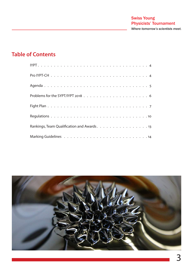## **Table of Contents**

| Rankings, Team Qualification and Awards. 13 |  |  |  |  |  |  |  |  |  |  |  |  |  |
|---------------------------------------------|--|--|--|--|--|--|--|--|--|--|--|--|--|
|                                             |  |  |  |  |  |  |  |  |  |  |  |  |  |

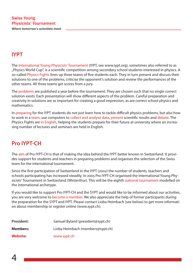## **IYPT**

The International Young Physicists' Tournament (IYPT, see www.iypt.org), sometimes also referred to as "Physics World Cup", is a scientific competition among secondary school students interested in physics. A so-called Physics Fights lines up three teams of five students each. They in turn present and discuss their solutions to one of the problems, criticise the opponent's solution and review the performances of the other teams. All three teams get scores from a jury.

The problems are published a year before the tournament. They are chosen such that no single correct solution exists. Each presentation will show different aspects of the problem. Careful preparation and creativity in solutions are as important for creating a good impression, as are correct school physics and mathematics.

In preparing for the IYPT students do not just learn how to tackle difficult physics problems, but also how to work in a team, use computers to collect and analyse data, present scientific results and debate. The Physics Fights are in English, helping the students prepare for their future at university where an increasing number of lectures and seminars are held in English.

## **Pro IYPT-CH**

The aim of Pro IYPT-CH is that of making the idea behind the IYPT better known in Switzerland. It provides support for students and teachers in preparing problems and organises the selection of the Swiss team for the international tournament.

Since the first participation of Switzerland in the IYPT (2002) the number of students, teachers and schools participating has increased steadily. In 2005 Pro IYPT-CH organised the International Young Physicists' Tournament in Switzerland (Winterthur). This will be the eighth national tournament modelled on the international archetype.

If you would like to support Pro IYPT-CH and the SYPT and would like to be informed about our activities, you are very welcome to become a member. We also appreciate the help of former participants during the preparation for the SYPT and IYPT. Please contact Lioba Heimbach (see below) to get more information about membership or register online (www.sypt.ch).

| <b>President:</b> | Samuel Byland (president@sypt.ch) |
|-------------------|-----------------------------------|
| <b>Members:</b>   | Lioba Heimbach (members@sypt.ch)  |
| <b>Website:</b>   | www.sypt.ch                       |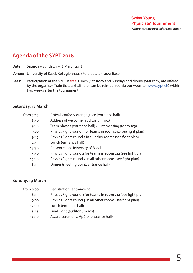## **Agenda of the SYPT 2018**

- **Date:** Saturday/Sunday, 17/18 March 2018
- **Venue:** University of Basel, Kollegienhaus (Petersplatz 1, 4051 Basel)
- **Fees:** Participation at the SYPT is free. Lunch (Saturday and Sunday) and dinner (Saturday) are offered by the organiser. Train tickets (half-fare) can be reimbursed via our website (www.sypt.ch) within two weeks after the tournament.

#### **Saturday, 17 March**

| from 7:45 | Arrival, coffee & orange juice (entrance hall)               |
|-----------|--------------------------------------------------------------|
| 8:30      | Address of welcome (auditorium 102)                          |
| 9:00      | Team photos (entrance hall) / Jury meeting (room 103)        |
| 9:00      | Physics Fight round 1 for teams in room 212 (see fight plan) |
| 9:45      | Physics Fights round 1 in all other rooms (see fight plan)   |
| 12:45     | Lunch (entrance hall)                                        |
| 13:30     | Presentation University of Basel                             |
| 14:30     | Physics Fight round 2 for teams in room 212 (see fight plan) |
| 15:00     | Physics Fights round 2 in all other rooms (see fight plan)   |
| 18:15     | Dinner (meeting point: entrance hall)                        |

#### **Sunday, 19 March**

| from 8:00 | Registration (entrance hall)                                 |
|-----------|--------------------------------------------------------------|
| 8:15      | Physics Fight round 3 for teams in room 212 (see fight plan) |
| 9:00      | Physics Fights round 3 in all other rooms (see fight plan)   |
| 12:00     | Lunch (entrance hall)                                        |
| 13:15     | Final Fight (auditorium 102)                                 |
| 16:30     | Award ceremony, Apéro (entrance hall)                        |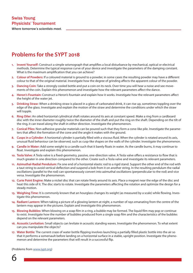*Where tomorrow's scientists meet.*

## **Problems for the SYPT 2018**

- **Invent Yourself:** Construct a simple seismograph that amplifies a local disturbance by mechanical, optical or electrical methods. Determine the typical response curve of your device and investigate the parameters of the damping constant. What is the maximum amplification that you can achieve?
- **2. Colour of Powders:** If a coloured material is ground to a powder, in some cases the resulting powder may have a different colour to that of the original material. Investigate how the degree of grinding affects the apparent colour of the powder.
- **3. Dancing Coin:** Take a strongly cooled bottle and put a coin on its neck. Over time you will hear a noise and see movements of the coin. Explain this phenomenon and investigate how the relevant parameters affect the dance.
- **4. Heron's Fountain:** Construct a Heron's fountain and explain how it works. Investigate how the relevant parameters affect the height of the water jet.
- **5. Drinking Straw:** When a drinking straw is placed in a glass of carbonated drink, it can rise up, sometimes toppling over the edge of the glass. Investigate and explain the motion of the straw and determine the conditions under which the straw will topple.
- **6. Ring Oiler:** An oiled horizontal cylindrical shaft rotates around its axis at constant speed. Make a ring from a cardboard disc with the inner diameter roughly twice the diameter of the shaft and put the ring on the shaft. Depending on the tilt of the ring, it can travel along the shaft in either direction. Investigate the phenomenon.
- **7. Conical Piles:** Non-adhesive granular materials can be poured such that they form a cone-like pile. Investigate the parameters that affect the formation of the cone and the angle it makes with the ground.
- **8. Cusps in a Cylinder:** A horizontal cylinder is partially filled with a viscous fluid. When the cylinder is rotated around its axis, unusual fluid behaviour can be observed, such as cusp-like shapes on the walls of the cylinder. Investigate the phenomenon.
- **9. Candle in Water:** Add some weight to a candle such that it barely floats in water. As the candle burns, it may continue to float. Investigate and explain this phenomenon.
- **10. Tesla Valve:** A Tesla valve is a fixed-geometry, passive, one-direction valve. A Tesla valve offers a resistance to flow that is much greater in one direction compared to the other. Create such a Tesla valve and investigate its relevant parameters.
- **11. Azimuthal-Radial Pendulum:** Fix one end of a horizontal elastic rod to a rigid stand. Support the other end of the rod with a taut string to avoid vertical deflection and suspend a bob from it on another string. In the resulting pendulum the radial oscillations (parallel to the rod) can spontaneously convert into azimuthal oscillations (perpendicular to the rod) and vice versa. Investigate the phenomenon.
- **12. Curie Point Engine:** Make a nickel disc that can rotate freely around its axis. Place a magnet near the edge of the disc and heat this side of it. The disc starts to rotate. Investigate the parameters affecting the rotation and optimize the design for a steady motion.
- **13. Weighing Time:** It is commonly known that an hourglass changes its weight (as measured by a scale) while flowing. Investigate this phenomenon.
- **14. Radiant Lantern:** When taking a picture of a glowing lantern at night, a number of rays emanating from the centre of the lantern may appear in the pictures. Explain and investigate this phenomenon.
- **15. Blowing Bubbles:** When blowing on a soap film in a ring, a bubble may be formed. The liquid film may pop or continue to exist. Investigate how the number of bubbles produced from a single soap film and the characteristics of the bubbles depend on the relevant parameters.
- **16. Acoustic Levitation:** Small objects can levitate in acoustic standing waves. Investigate the phenomenon. To what extent can you manipulate the objects?
- **17. Water Bottle:** The current craze of water bottle flipping involves launching a partially filled plastic bottle into the air so that it performs a somersault before landing on a horizontal surface in a stable, upright position. Investigate the phenomenon and determine the parameters that will result in a successful flip.

(Problems from www.iypt.org)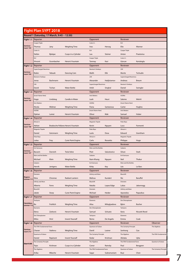|                          | <b>Fight Plan SYPT 2018</b>   |                                            |                           |                               |              |                               |                |                         |
|--------------------------|-------------------------------|--------------------------------------------|---------------------------|-------------------------------|--------------|-------------------------------|----------------|-------------------------|
|                          |                               | Round 1 (Saturday, 17 March, 9:45 - 12:30) |                           |                               |              |                               |                |                         |
| Fight 1.1                | Reporter                      |                                            |                           | Opponent                      |              | Reviewer                      |                |                         |
|                          | Cooper Triple                 |                                            |                           | Cutie $\pi$ 's                |              | ELV                           |                |                         |
| Seminar-<br>raum 103     | <b>Thomas</b>                 | Jany                                       | <b>Weighing Time</b>      | Ines                          | Herceg       | Elio                          | Wanner         |                         |
|                          | Cutie $\pi$ 's                |                                            |                           | ELV                           |              | Cooper Triple                 |                |                         |
|                          | Stefan                        | Bjelajac                                   | Cusps in a Cylinder       | Lea                           | Steiner      | Anton                         | Praetorius     |                         |
|                          | ELV                           |                                            |                           | Cooper Triple                 |              | Cutie $\pi$ 's                |                |                         |
|                          | Vincent                       | Grumbacher                                 | Heron's Fountain          | Tanmay                        | Kasi         | Gürcan                        | Kartaloglu     |                         |
| Fight 1.2                | Reporter                      |                                            |                           | Opponent                      |              | Reviewer                      |                |                         |
|                          | <b>Supercharged Neutrinos</b> |                                            |                           | Newton's Fanboys              |              | 23K                           |                |                         |
| Seminar-                 | Robin                         | Yeboah                                     | <b>Dancing Coin</b>       | Melih                         | Elik         | Moritz                        | Tschudin       |                         |
| raum 104                 | Newton's Fanboys              |                                            |                           | 23K                           |              | <b>Supercharged Neutrinos</b> |                |                         |
|                          | Jonas                         | Bachmann                                   | Heron's Fountain          | Alexander                     | Hadjistamov  | Andreas                       | <b>Breum</b>   |                         |
|                          | 23K                           |                                            |                           | <b>Supercharged Neutrinos</b> |              | Newton's Fanboys              |                |                         |
|                          | David                         | Tschan                                     | <b>Water Bottle</b>       | Ankit                         | Singhal      | Daniel                        | Swingler       |                         |
| Fight 1.3                | Reporter                      |                                            |                           | Opponent                      |              | Reviewer                      |                |                         |
|                          | [Insert Name Here]            |                                            |                           | <b>Anti Matters</b>           |              | H <sub>2</sub> ONii           |                |                         |
| Seminar-                 | Hugo                          | Lindskog                                   | Candle in Water           | Leah                          | Heuri        | Salome                        | Wehrli         |                         |
| raum 105                 | <b>Anti Matters</b>           |                                            |                           | H <sub>2</sub> ONii           |              | [Insert Name Here]            |                |                         |
|                          |                               | Widmer                                     |                           |                               | Santarossa   |                               |                |                         |
|                          | Nicola<br>H <sub>2</sub> ONii |                                            | <b>Weighing Time</b>      | Fiona<br>[Insert Name Here]   |              | Carter<br><b>Anti Matters</b> | Hughes         |                         |
|                          | Djahan                        | Lamei                                      | Heron's Fountain          | Oliver                        | Mak          | Samuel                        | Huber          |                         |
|                          |                               |                                            |                           |                               |              |                               |                |                         |
| Fight 1.4                | Reporter                      |                                            |                           | Opponent                      |              | Reviewer                      |                |                         |
| Seminar-                 | $Almost \pi$                  |                                            |                           | <b>Magnetic Tripole</b>       |              | Polar Boys                    |                |                         |
| raum 106                 | Adrian                        | Bradosche Pallares Heron's Fountain        |                           | Kevin                         | Nguyen       | Luca                          | Formenti       |                         |
|                          | <b>Magnetic Tripole</b>       |                                            |                           | Polar Boys                    |              | Almost $\pi$                  |                |                         |
|                          | Daniel                        | Gotsmann                                   | <b>Weighing Time</b>      | Laslo                         | Dosa         | Edward                        | Grantham       |                         |
|                          | Polar Boys                    |                                            |                           | Almost $\pi$                  |              | <b>Magnetic Tripole</b>       |                |                         |
|                          | Lukas                         | Frey                                       | <b>Curie Point Engine</b> | Carlo                         | Rossetto     | Philippe                      | Hugo           |                         |
|                          |                               |                                            |                           |                               |              |                               |                |                         |
| Fight 1.5                | Reporter                      |                                            |                           | Opponent                      |              | Reviewer                      |                |                         |
|                          | <b>Evil Geniuses</b>          |                                            |                           | Klein and the Bottles         |              | Subzero                       |                |                         |
| Seminar-<br>raum 107     | Bassem                        | Darwish                                    | <b>Tesla Valve</b>        | Piotr                         | Salustowicz  | Silvan                        | Stark          |                         |
|                          | Klein and the Bottles         |                                            |                           | Subzero                       |              | <b>Evil Geniuses</b>          |                |                         |
|                          | Michael                       | Klein                                      | <b>Weighing Time</b>      | Nam-Khang                     | Nguyen       | Neil                          | Thakur         |                         |
|                          | Subzero                       |                                            |                           | <b>Evil Geniuses</b>          |              | Klein and the Bottles         |                |                         |
|                          | Henrik                        | Jentgens                                   | <b>Water Bottle</b>       | Kirby                         | Key          | Léa                           | Le Bars        |                         |
| Fight 1.6                | Reporter                      |                                            |                           | Opponent                      |              | Reviewer                      |                |                         |
|                          | Dreistein                     |                                            |                           | Infinity and More             |              | Blueshift                     |                |                         |
| Regenz-<br>zimmer 111    | Nina                          | Chromec                                    | Radiant Lantern           | Melissa                       | Kundert      | Nic                           | Baruffol       |                         |
|                          | Infinity and More             |                                            |                           | Blueshift                     |              | Dreistein                     |                |                         |
|                          | Alberto                       | Ferro                                      | <b>Weighing Time</b>      | Natalia                       | Lopez-Edge   | Lukas                         | Jabornegg      |                         |
|                          | Blueshift                     |                                            |                           | Dreistein                     |              | Infinity and More             |                |                         |
|                          | Jakob                         | Storp                                      | <b>Curie Point Engine</b> | Michael                       | Heider       | Apostolos                     | Papasikas      |                         |
| Fight 1.7                | Reporter                      |                                            |                           | Opponent                      |              | Reviewer                      |                |                         |
|                          | Tachyons                      |                                            |                           | Elaments                      |              | Die Chloroplasten             |                |                         |
| Fakultäten<br>zimmer 112 | Bo                            | Frohlich                                   | <b>Weighing Time</b>      | Alisa                         | Miloglyadova | Björn                         | <b>Bucher</b>  |                         |
|                          | Elaments                      |                                            |                           | Die Chloroplasten             |              | Tachyons                      |                |                         |
|                          | Elena                         | Zarkovic                                   | Heron's Fountain          | Samuel                        | Schuetz      | Ilaria                        | Nissotti Revel |                         |
|                          | Die Chloroplasten             |                                            |                           | Tachyons                      |              | Elaments                      |                |                         |
|                          | Milos                         | Hirsl                                      | <b>Invent Yourself</b>    | Remo                          | De Angelis   | Emma                          | Cook           |                         |
|                          | Reporter                      |                                            |                           | Opponent                      |              | Reviewer                      |                | Observer                |
|                          | The Fifth Fundamental Force   |                                            |                           | Quantum of Solace             |              | The Certainty Principle       |                | The Algebros            |
|                          | Charan                        | Vadrevu                                    | <b>Weighing Time</b>      | Daniil                        | Lozner       | Senhong                       | Cao            |                         |
| raum 212                 | Quantum of Solace             |                                            |                           | The Certainty Principle       |              | The Algebros                  |                |                         |
| Fight 1.8<br>Seminar-    | Daniel                        | Repérant                                   | <b>Invent Yourself</b>    | Kedar                         | Krishnan     | Akitaka                       | Ujita          |                         |
|                          | The Certainty Principle       |                                            |                           | The Algebros                  |              | The Fifth Fundamental Force   |                | Quantum of Solace       |
| <b>Start 9.00</b>        | Tejas                         | Krishnan                                   | Cusps in a Cylinder       | Conor                         | Rainsby      | Paul                          | Berggren       | The Fifth Fundamental   |
|                          | The Algebros                  |                                            |                           | The Fifth Fundamental Force   |              | Quantum of Solace             |                | The Certainty Principle |

 $\equiv$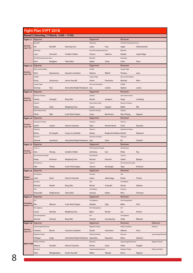|                                   | <b>Fight Plan SYPT 2018</b>   |                                             |                                |                                 |                                  |                                   |             |                       |
|-----------------------------------|-------------------------------|---------------------------------------------|--------------------------------|---------------------------------|----------------------------------|-----------------------------------|-------------|-----------------------|
|                                   |                               | Round 2 (Saturday, 17 March, 15:00 - 17:45) |                                |                                 |                                  |                                   |             |                       |
| Fight 2.1                         | Reporter                      |                                             |                                | Opponent                        |                                  | Reviewer                          |             |                       |
|                                   | Blueshift                     |                                             |                                | Polar Boys                      |                                  | The Fifth Fundamental Force       |             |                       |
| Seminar-<br>raum 103              | Nic                           | Baruffol                                    | Dancing Coin                   | Lukas                           | Frey                             | Sagar                             | Subramaniam |                       |
|                                   | Polar Boys                    |                                             |                                | The Fifth Fundamental Force     |                                  | Blueshift                         |             |                       |
|                                   | Luca                          | Formenti                                    | Candle in Water                | Charan                          | Vadrevu                          | Natalia                           | Lopez-Edge  |                       |
|                                   | The Fifth Fundamental Force   |                                             |                                | Blueshift                       |                                  | Polar Boys                        |             |                       |
|                                   | Paul                          | Berggren                                    | Tesla Valve                    | Jakob                           | Storp                            | Laslo                             | Dosa        |                       |
| Fight 2.2                         | Reporter                      |                                             |                                | Opponent                        |                                  | Reviewer                          |             |                       |
| Seminar-                          | Klein and the Bottles         |                                             |                                | H <sub>2</sub> ONii             |                                  | Cooper Triple                     |             |                       |
| raum 104                          | Piotr                         | Salustowicz                                 | <b>Acoustic Levitation</b>     | Salome                          | Wehrli                           | Thomas                            | Jany        |                       |
|                                   | H <sub>2</sub> ONii           |                                             |                                | Cooper Triple                   |                                  | Klein and the Bottles             |             |                       |
|                                   | Fiona                         | Santarossa                                  | <b>Invent Yourself</b>         | Anton<br>Klein and the Bottles  | Praetorius                       | Michael<br>H <sub>2</sub> ONii    | Klein       |                       |
|                                   | Cooper Triple<br>Tanmay       | Kasi                                        | Azimuthal-Radial Pendulum Léa  |                                 | Le Bars                          | Djahan                            | Lamei       |                       |
| Fight 2.3                         | Reporter                      |                                             |                                | Opponent                        |                                  | Reviewer                          |             |                       |
|                                   | Newton's Fanboys              |                                             |                                | Subzero                         |                                  | [Insert Name Here]                |             |                       |
| Seminar-                          | Daniel                        | Swingler                                    | <b>Ring Oiler</b>              | Henrik                          | Jentgens                         | Hugo                              | Lindskog    |                       |
| raum 105                          | Subzero                       |                                             |                                | [Insert Name Here]              |                                  | Newton's Fanboys                  |             |                       |
|                                   | Silvan                        | <b>Stark</b>                                | Weighing Time                  | Carter                          | Hughes                           | Melih                             | Elik        |                       |
|                                   | [Insert Name Here]            |                                             |                                | Newton's Fanboys                |                                  | Subzero                           |             |                       |
|                                   | Oliver                        | Mak                                         | <b>Curie Point Engine</b>      | Jonas                           | Bachmann                         | Nam-Khang                         | Nguyen      |                       |
| Fight 2.4                         | Reporter                      |                                             |                                | Opponent                        |                                  | Reviewer                          |             |                       |
|                                   | Quantum of Solace             |                                             |                                | Tachyons                        |                                  | Almost $\pi$                      |             |                       |
| Seminar-<br>raum 106              | Daniil                        | Lozner                                      | Heron's Fountain               | Ilaria                          | Nissotti Revel                   | Carlo                             | Rossetto    |                       |
|                                   | Tachyons                      |                                             |                                | $Almost \pi$                    |                                  | Quantum of Solace                 |             |                       |
|                                   | Remo                          | De Angelis                                  | Cusps in a Cylinder            | Adrian                          | <b>Bradosche Pallares Daniel</b> |                                   | Repérant    |                       |
|                                   | $Almost\pi$                   |                                             |                                | Quantum of Solace               |                                  | Tachyons                          |             |                       |
|                                   | Edward                        | Grantham                                    | Azimuthal-Radial Pendulum Buyi |                                 | Chen                             | Bo                                | Frohlich    |                       |
| Fight 2.5                         | Reporter                      |                                             |                                | Opponent                        |                                  | Reviewer                          |             |                       |
| Seminar-                          | Cutie $\pi$ 's<br>Ines        |                                             |                                | The Certainty Principle         |                                  | <b>Evil Geniuses</b>              |             |                       |
| raum 107                          |                               |                                             |                                |                                 |                                  |                                   |             |                       |
|                                   |                               | Herceg                                      | <b>Candle in Water</b>         | Senhong                         | Cao                              | Kirby<br>Cutie $\pi$ 's           | Key         |                       |
|                                   | The Certainty Principle       |                                             |                                | <b>Evil Geniuses</b>            |                                  |                                   |             |                       |
|                                   | Kedar<br><b>Evil Geniuses</b> | Krishnan                                    | Weighing Time                  | <b>Bassem</b><br>Cutie $\pi$ 's | Darwish                          | Stefan<br>The Certainty Principle | Bjelajac    |                       |
|                                   | Neil                          | Thakur                                      | <b>Curie Point Engine</b>      | Gürcan                          | Kartaloglu                       | Tejas                             | Krishnan    |                       |
|                                   |                               |                                             |                                | Opponent                        |                                  | Reviewer                          |             |                       |
|                                   | <b>Anti Matters</b>           |                                             |                                | Dreistein                       |                                  | 23K                               |             |                       |
| Regenz-                           | Leah                          | Heuri                                       | Heron's Fountain               | Lukas                           | Jabornegg                        | David                             | Tschan      |                       |
| Fight 2.6   Reporter<br>zimmer 11 | Dreistein                     |                                             |                                | 23K                             |                                  | <b>Anti Matters</b>               |             |                       |
|                                   | Michael                       | Heider                                      | <b>Ring Oiler</b>              | Moritz                          | Tschudin                         | Nicola                            | Widmer      |                       |
|                                   | 23K                           |                                             |                                | <b>Anti Matters</b>             |                                  | Dreistein                         |             |                       |
|                                   | Alexander                     | Hadjistamov                                 | <b>Tesla Valve</b>             | Samuel                          | Huber                            | Nina                              | Chromec     |                       |
| Fight 2.7                         | Reporter                      |                                             |                                | Opponent                        |                                  | Reviewer                          |             |                       |
|                                   | ELV                           |                                             |                                | The Algebros                    |                                  | Die Chloroplasten                 |             |                       |
| Fakultäten-<br>zimmer 112         | Elio                          | Wanner                                      | <b>Curie Point Engine</b>      | Akitaka                         | Ujita                            | Milos                             | Hirsl       |                       |
|                                   | The Algebros                  |                                             |                                | Die Chloroplasten               |                                  | ELV                               |             |                       |
|                                   | Conor                         | Rainsby                                     | <b>Weighing Time</b>           | Björn                           | Bucher                           | Lea                               | Steiner     |                       |
|                                   | Die Chloroplasten<br>Samuel   | Schuetz                                     |                                | ELV<br>Vincent                  | Grumbacher                       | The Algebros<br>Ariba             | Mbeche      |                       |
|                                   | Reporter                      |                                             | <b>Ring Oiler</b>              | Opponent                        |                                  | Reviewer                          |             | Observer              |
| Fight 2.8                         | <b>Supercharged Neutrinos</b> |                                             |                                | <b>Magnetic Tripole</b>         |                                  | Infinity and More                 |             | Elaments              |
| Seminar-                          | Andreas                       | <b>Breum</b>                                | <b>Acoustic Levitation</b>     | Daniel                          | Gotsmann                         | Alberto                           | Ferro       |                       |
| raum 212                          | Magnetic Tripole              |                                             |                                | Infinity and More               |                                  | Elaments                          |             | Supercharged Neutring |
|                                   | Philippe                      | Hugo                                        | Azimuthal-Radial Pendulum      | Apostolos                       | Papasikas                        | Elena                             | Zarkovic    |                       |
|                                   | Infinity and More             |                                             |                                | Elaments                        |                                  | <b>Supercharged Neutrinos</b>     |             | Magnetic Tripole      |
| <b>Start 14.30</b>                | Melissa                       | Kundert                                     | Heron's Fountain               | Emma                            | Cook                             | Ankit                             | Singhal     |                       |
|                                   | Elaments                      |                                             |                                | <b>Supercharged Neutrinos</b>   |                                  | <b>Magnetic Tripole</b>           |             | Infinity and More     |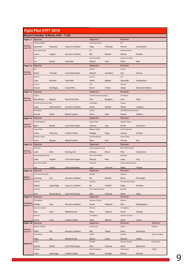|                      | <b>Fight Plan SYPT 2018</b>   |                                          |                            |                                         |              |                                 |                           |                      |
|----------------------|-------------------------------|------------------------------------------|----------------------------|-----------------------------------------|--------------|---------------------------------|---------------------------|----------------------|
|                      |                               | Round 3 (Sunday, 18 March, 9:00 - 11:45) |                            |                                         |              |                                 |                           |                      |
| Fight 3.1            | Reporter                      |                                          |                            | Opponent                                |              | Reviewer                        |                           |                      |
|                      | Infinity and More             |                                          |                            | [Insert Name Here]                      |              | ELV                             |                           |                      |
| Seminar-<br>raum 103 | Apostolos                     | Papasikas                                | Cusps in a Cylinder        | Hugo                                    | Lindskog     | Vincent                         | Grumbacher                |                      |
|                      | [Insert Name Here]            |                                          |                            | ELV                                     |              | Infinity and More               |                           |                      |
|                      | Carter                        | Hughes                                   | <b>Acoustic Levitation</b> | Elio                                    | Wanner       | Melissa                         | Kundert                   |                      |
|                      | ELV                           |                                          |                            | Infinity and More                       |              | [Insert Name Here]              |                           |                      |
|                      | Lea                           | Steiner                                  | <b>Tesla Valve</b>         | Alberto                                 | Ferro        | Oliver                          | Mak                       |                      |
| Fight 3.2            | Reporter                      |                                          |                            | Opponent                                |              | Reviewer                        |                           |                      |
| Seminar-             | 23K                           |                                          |                            | Almost $\pi$                            |              | Cutie $\pi$ 's                  |                           |                      |
| raum 104             | Moritz                        | Tschudin                                 | <b>Curie Point Engine</b>  | Edward                                  | Grantham     | Ines                            | Herceg                    |                      |
|                      | Almost $\pi$                  |                                          |                            | Cutie $\pi$ 's                          |              | 23K                             |                           |                      |
|                      | Carlo                         | Rossetto                                 | Tesla Valve                | Stefan                                  | Bjelajac     | Alexander                       | Hadjistamov               |                      |
|                      | Cutie $\pi$ 's                |                                          |                            | 23K                                     |              | Almost $\pi$                    |                           |                      |
|                      | Gürcan                        | Kartaloglu                               | <b>Conical Piles</b>       | David                                   | Tschan       | Adrian                          | <b>Bradosche Pallares</b> |                      |
| Fight 3.3            | Reporter                      |                                          |                            | Opponent<br>The Fifth Fundamental Force |              | Reviewer<br><b>Anti Matters</b> |                           |                      |
| Seminar-             | Subzero<br>Nam-Khang          |                                          | Heron's Fountain           | Paul                                    |              | Leah                            | Heuri                     |                      |
| raum 105             | The Fifth Fundamental Force   | Nguyen                                   |                            | <b>Anti Matters</b>                     | Berggren     | Subzero                         |                           |                      |
|                      | Sagar                         | Subramaniam                              | <b>Acoustic Levitation</b> | Nicola                                  | Widmer       | Henrik                          | Jentgens                  |                      |
|                      | <b>Anti Matters</b>           |                                          |                            | Subzero                                 |              | The Fifth Fundamental Force     |                           |                      |
|                      | Samuel                        | Huber                                    | Radiant Lantern            | Silvan                                  | <b>Stark</b> | Charan                          | Vadrevu                   |                      |
| Fight 3.4            | Reporter                      |                                          |                            | Opponent                                |              | Reviewer                        |                           |                      |
|                      | Die Chloroplasten             |                                          |                            | <b>Cooper Triple</b>                    |              | <b>Magnetic Tripole</b>         |                           |                      |
| Seminar-             | Björn                         | <b>Bucher</b>                            | <b>Curie Point Engine</b>  | Thomas                                  | Jany         | Daniel                          | Gotsmann                  |                      |
| raum 106             | <b>Cooper Triple</b>          |                                          |                            | <b>Magnetic Tripole</b>                 |              | Die Chloroplasten               |                           |                      |
|                      | Anton                         | Praetorius                               | Candle in Water            | Philippe                                | Hugo         | Samuel                          | Schuetz                   |                      |
|                      | <b>Magnetic Tripole</b>       |                                          |                            | Die Chloroplasten                       |              | Cooper Triple                   |                           |                      |
|                      | Kevin                         | Nguyen                                   | Radiant Lantern            | Milos                                   | Hirsl        | Tanmay                          | Kasi                      |                      |
| Fight 3.5            | Reporter                      |                                          |                            | Opponent                                |              | Reviewer                        |                           |                      |
|                      | Polar Boys                    |                                          |                            | <b>Supercharged Neutrinos</b>           |              | Klein and the Bottles           |                           |                      |
| Seminar-<br>raum 107 | Laslo                         | Dosa                                     | Dancing Coin               | Andreas                                 | <b>Breum</b> | Piotr                           | Salustowicz               |                      |
|                      | <b>Supercharged Neutrinos</b> |                                          |                            | Klein and the Bottles                   |              | Polar Boys                      |                           |                      |
|                      | Ankit                         | Singhal                                  | <b>Curie Point Engine</b>  | Michael                                 | Klein        | Lukas                           | Frey                      |                      |
|                      | Klein and the Bottles         |                                          |                            | Polar Boys                              |              | <b>Supercharged Neutrinos</b>   |                           |                      |
|                      | Léa                           | Le Bars                                  | <b>Colour of Powders</b>   | Luca                                    | Formenti     | Robin                           | Yeboah                    |                      |
| Fight 3.6 Reporter   |                               |                                          |                            | Opponent                                |              | Reviewer                        |                           |                      |
| Regenz-              | The Certainty Principle       |                                          |                            | Blueshift                               |              | Tachyons                        |                           |                      |
| zimmer 11            | Senhong                       | Cao                                      | <b>Acoustic Levitation</b> | <b>Nic</b>                              | Baruffol     | Remo                            | De Angelis                |                      |
|                      | Blueshift                     |                                          |                            | Tachyons                                |              | The Certainty Principle         |                           |                      |
|                      | Natalia<br>Tachyons           | Lopez-Edge                               | Cusps in a Cylinder        | Bo<br>The Certainty Principle           | Frohlich     | Kedar<br>Blueshift              | Krishnan                  |                      |
|                      |                               |                                          |                            |                                         |              |                                 |                           |                      |
| Fight 3.7            | Ilaria<br>Reporter            | Nissotti Revel                           | <b>Curie Point Engine</b>  | Tejas<br>Opponent                       | Krishnan     | Jakob<br>Reviewer               | Storp                     |                      |
|                      | The Algebros                  |                                          |                            | Quantum of Solace                       |              | Elaments                        |                           |                      |
| Fakultäten           | Akitaka                       | Ujita                                    | <b>Acoustic Levitation</b> | Daniel                                  | Repérant     | Alisa                           | Miloglyadova              |                      |
| zimmer 112           | Quantum of Solace             |                                          |                            | Elaments                                |              | The Algebros                    |                           |                      |
|                      | Buyi                          | Chen                                     | <b>Weighing Time</b>       | Elena                                   | Zarkovic     | Conor                           | Rainsby                   |                      |
|                      | Elaments                      |                                          |                            | The Algebros                            |              | Quantum of Solace               |                           |                      |
|                      | Emma                          | Cook                                     | Candle in Water            | Ariba                                   | Mbeche       | Daniil                          | Lozner                    |                      |
| Fight 3.8            | Reporter                      |                                          |                            | Opponent                                |              | Reviewer                        |                           | Observer             |
|                      | Newton's Fanboys              |                                          |                            | <b>Evil Geniuses</b>                    |              | H <sub>2</sub> ONii             |                           | Dreistein            |
| Seminar-<br>raum 212 | Melih                         | Elik                                     | <b>Acoustic Levitation</b> | Neil                                    | Thakur       | Fiona                           | Santarossa                |                      |
|                      | <b>Evil Geniuses</b>          |                                          |                            | H <sub>2</sub> ONii                     |              | Dreistein                       |                           | Newton's Fanboys     |
|                      | Kirby                         | Key                                      | Weighing Time              | Djahan                                  | Lamei        | Michael                         | Heider                    |                      |
| <b>Start 8.15</b>    | H <sub>2</sub> ONii           |                                          |                            | Dreistein                               |              | Newton's Fanboys                |                           | <b>Evil Geniuses</b> |
|                      | Salome                        | Wehrli                                   | <b>Curie Point Engine</b>  | Nina                                    | Chromec      | Jonas                           | Bachmann                  |                      |
|                      | Dreistein                     |                                          |                            | Newton's Fanboys                        |              | <b>Evil Geniuses</b>            |                           | H <sub>2</sub> ONii  |
|                      | Lukas                         | Jabornegg                                | Candle in Water            | Daniel                                  | Swingler     | Bassem                          | Darwish                   |                      |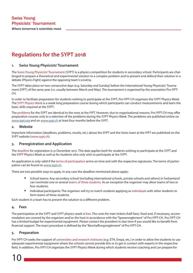#### *Where tomorrow's scientists meet.*

## **Regulations for the SYPT 2018**

#### **1. Swiss Young Physicists' Tournament**

The Swiss Young Physicists' Tournament (SYPT) is a physics competition for students in secondary school. Participants are challenged to prepare a theoretical and experimental solution to a complex problem and to present and defend their solution in a debate (Physics Fight) against the opposing team's scrutiny.

The SYPT takes place on two consecutive days (e.g. Saturday and Sunday) before the International Young Physicists' Tournament (IYPT) of the same year (i.e. usually between March and May). The tournament is organised by the association Pro IYPT-CH.

In order to facilitate preparation for students wishing to participate at the SYPT, Pro IYPT-CH organizes the SYPT Physics Week. The SYPT Physics Week is a week-long preparation course during which participants can conduct measurements and learn the basic skills required at the SYPT.

The problems for the SYPT are identical to the ones at the IYPT. However, due to organizational reasons, Pro IYPT-CH may offer preparation courses only to a selection of the problems during the SYPT Physics Week. The problems are published online on www.iypt.org and on www.sypt.ch at least four months before the SYPT.

#### **2. Website**

Important information (deadlines, problems, results, etc.) about the SYPT and the Swiss team at the IYPT are published on the SYPT website (www.sypt.ch).

#### **3. Preregistration and Application**

The deadline for registration is 31 December 2017. This date applies both for students wishing to participate at the SYPT and the SYPT Physics Week as well as for students who only wish to participate at the SYPT.

An application is only valid if the terms of participation arrive on time and with the respective signatures. The terms of participation can be found on www.sypt.ch.

There are two possible ways to apply. In any case the deadline mentioned above apply:

- School teams: Any secondary school (including international schools, private schools and others) in Switzerland can nominate one or several teams of three students. As an exception the organiser may allow teams of two or four students.
- Individual participants: The organiser will try to match students applying as individuals with other students to form teams of three students.

Each student in a team has to present the solution to a different problem.

#### **4. Fees**

The participation at the SYPT and SYPT physics week is free. The costs for train tickets (half-fare), food and, if necessary, accommodation are covered by the organiser and/or the host in accordance with the "Spesenreglement" of Pro IYPT-CH. Pro IYPT-CH has a limited budget for experimental equipment. Please contact the president in due time if you would like to benefit from financial support. The exact procedure is defined by the "Beschaffungsreglement" of Pro IYPT-CH.

#### **5. Preparation**

Pro IYPT-CH seeks the support of universities and research institutes (e.g. ETH, Empa, etc.) in order to allow the students to use adequate experimental equipment where the schools cannot provide this or to get in contact with experts in the respective field. In addition, Pro IYPT-CH organizes the SYPT Physics Week during which students receive coaching and can prepare for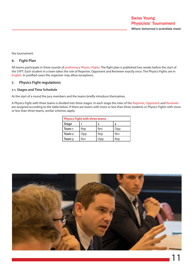the tournament.

#### **6. Fight Plan**

All teams participate in three rounds of preliminary Physics Fights. The fight plan is published two weeks before the start of the SYPT. Each student in a team takes the role of Reporter, Opponent and Reviewer exactly once. The Physics Fights are in English. In justified cases the organiser may allow exceptions.

#### **7. Physics Fight regulations**

#### **7.1. Stages and Time Schedule**

At the start of a round the jury members and the teams briefly introduce themselves.

A Physics Fight with three teams is divided into three stages. In each stage the roles of the Reporter, Opponent and Reviewer are assigned according to the table below. If there are teams with more or less than three students or Physics Fights with more or less than three teams, similar schemes apply.

| <b>Physics Fight with three teams</b> |     |     |     |  |  |  |  |
|---------------------------------------|-----|-----|-----|--|--|--|--|
| <b>Stage</b>                          |     | 2   | 3   |  |  |  |  |
| Team 1                                | Rep | Rev | Opp |  |  |  |  |
| Team <sub>2</sub>                     | Opp | Rep | Rev |  |  |  |  |
| Team 3                                | Rev | Opp | Rep |  |  |  |  |

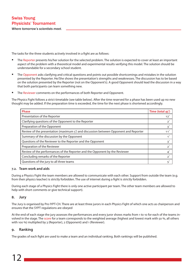The tasks for the three students actively involved in a fight are as follows:

- The Reporter presents his/her solution for the selected problem. The solution is expected to cover at least an important aspect of the problem with a theoretical model and experimental results verifying this model. The solution should be understandable for a secondary school student.
- The Opponent asks clarifying and critical questions and points out possible shortcomings and mistakes in the solution presented by the Reporter. He/She shows the presentation's strengths and weaknesses. The discussion has to be based on the solution presented by the Reporter (not on the Opponent's). A good Opponent should lead the discussion in a way that both participants can learn something new.
- The Reviewer comments on the performances of both Reporter and Opponent.

The Physics Fight follows a strict timetable (see table below). After the time reserved for a phase has been used up no new thought may be added. If the preparation time is exceeded, the time for the next phase is shortened accordingly.

| <b>Phase</b>                                                                         | Time (total 45') |
|--------------------------------------------------------------------------------------|------------------|
| Presentation of the Reporter                                                         | 12 <sup>′</sup>  |
| Clarifying questions of the Opponent to the Reporter                                 | $2^{t}$          |
| Preparation of the Opponent                                                          | 3 <sup>′</sup>   |
| Review of the presentation (maximum 5') and discussion between Opponent and Reporter | 11'              |
| Summary of the discussion by the Opponent                                            | 1'               |
| Questions of the Reviewer to the Reporter and the Opponent                           | 3'               |
| Preparation of the Reviewer                                                          | $2^{t}$          |
| Review of the performances of the Reporter and the Opponent by the Reviewer          | 4 <sup>′</sup>   |
| Concluding remarks of the Reporter                                                   | 2 <sup>1</sup>   |
| Questions of the jury to all three teams                                             | 5'               |

#### **7.2. Team work and aids**

During a Physics Fight the team members are allowed to communicate with each other. Support from outside the team (e.g. from their physics teacher) is strictly forbidden. The use of internet during a fight is strictly forbidden.

During each stage of a Physics Fight there is only one active participant per team. The other team members are allowed to help with short comments or give technical support).

#### **8. Jury**

The Jury is organised by Pro IYPT-CH. There are at least three jurors in each Physics Fight of which one acts as chairperson and ensures that the SYPT regulations are obeyed

At the end of each stage the jury assesses the performances and every juror shows marks from 1 to 10 for each of the teams involved in the stage. The score for a team corresponds to the weighted average (highest and lowest mark with 50 %, all others with 100 %) multiplied by 3 (Reporter), 2 (Opponent) and 1 (Reviewer).

#### **9. Ranking**

The grades of each fight are used to make a team and an individual ranking. Both rankings will be published.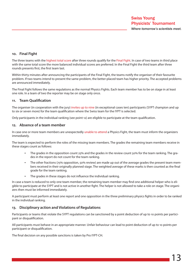#### **10. Final Fight**

The three teams with the highest total score after three rounds qualify for the Final Fight. In case of two teams in third place with the same total score the more balanced individual scores are preferred. In the Final Fight the third team after three rounds presents first, the first team last.

Within thirty minutes after announcing the participants of the Final Fight, the teams notify the organiser of their favourite problem. If two teams intend to present the same problem, the better-placed team has higher priority. The accepted problems are announced immediately.

The Final Fight follows the same regulations as the normal Physics Fights. Each team member has to be on stage in at least one role. In a team of two the reporter may be on stage only once.

#### **11. Team Qualification**

The organiser (in cooperation with the jury) invites up to nine (in exceptional cases ten) participants (SYPT champion and up to six or seven more) for the team qualification where the Swiss team for the IYPT is selected.

Only participants in the individual ranking (see point 12) are eligible to participate at the team qualification.

#### **12. Absence of a team member**

In case one or more team members are unexpectedly unable to attend a Physics Fight, the team must inform the organizers immediately.

The team is expected to perform the roles of the missing team members. The grades the remaining team members receive in these stages count as follows:

- The grades in the opposition count 25% and the grades in the review count 50% for the team ranking. The grades in the report do not count for the team ranking.
- The other fractions (75% opposition, 50% review) are made up out of the average grades the present team members received in their originally planned stage. The weighted average of these marks is then counted as the final grade for the team ranking.
- The grades in these stages do not influence the individual ranking.

In case a team is reduced to only one team member, the remaining team member may find one additional helper who is eligible to participate at the SYPT and is not active in another fight. The helper is not allowed to take a role on stage. The organizers then must be informed immediately.

A participant must perform at least one report and one opposition in the three preliminary physics fights in order to be ranked in the individual ranking.

#### **13. Disciplinary action and Violations of Regulations**

Participants or teams that violate the SYPT regulations can be sanctioned by a point deduction of up to 10 points per participant or disqualification.

All participants must behave in an appropriate manner. Unfair behaviour can lead to point deduction of up to 10 points per participant or disqualification.

The final decision on any possible sanctions is taken by Pro IYPT-CH.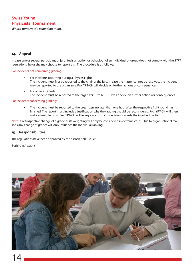*Where tomorrow's scientists meet.*

#### **14. Appeal**

In case one or several participant or juror feels an action or behaviour of an individual or group does not comply with the SYPT regulations, he or she may choose to report this. The procedure is as follows:

#### For incidents not concerning grading:

- For incidents occurring during a Physics Fight: The incident must first be reported to the chair of the jury. In case the matter cannot be resolved, the incident may be reported to the organizers. Pro IYPT-CH will decide on further actions or consequences.
- For other incidents: The incident must be reported to the organizers. Pro IYPT-CH will decide on further actions or consequences.

#### For incidents concerning grading:

The incident must be reported to the organizers no later than one hour after the respective fight round has finished. The report must include a justification why the grading should be reconsidered. Pro IYPT-CH will then make a final decision. Pro IYPT-CH will in any case justify its decision towards the involved parties.

Note: A retrospective change of a grade or its weighting will only be considered in extreme cases. Due to organisational reasons any change of grades will only influence the individual ranking.

#### **15. Responsibilities**

The regulations have been approved by the association Pro IYPT-CH.

Zurich, 14/12/2016

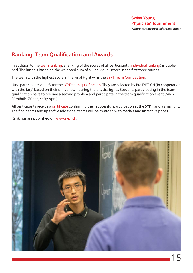## **Ranking, Team Qualification and Awards**

In addition to the team ranking, a ranking of the scores of all participants (individual ranking) is published. The latter is based on the weighted sum of all individual scores in the first three rounds.

The team with the highest score in the Final Fight wins the SYPT Team Competition.

Nine participants qualify for the IYPT team qualification. They are selected by Pro IYPT-CH (in cooperation with the jury) based on their skills shown during the physics fights. Students participating in the team qualification have to prepare a second problem and participate in the team qualification event (MNG Rämibühl Zürich, 16/17 April).

All participants receive a certificate confirming their successful participation at the SYPT, and a small gift. The final teams and up to five additional teams will be awarded with medals and attractive prices.

Rankings are published on www.sypt.ch.

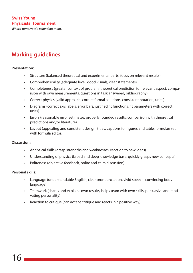## **Marking guidelines**

#### **Presentation:**

- Structure (balanced theoretical and experimental parts, focus on relevant results)
- Comprehensibility (adequate level, good visuals, clear statements)
- Completeness (greater context of problem, theoretical prediction for relevant aspect, comparison with own measurements, questions in task answered, bibliography)
- Correct physics (valid approach, correct formal solutions, consistent notation, units)
- Diagrams (correct axis labels, error bars, justified fit functions, fit parameters with correct units)
- Errors (reasonable error estimates, properly rounded results, comparison with theoretical predictions and/or literature)
- Layout (appealing and consistent design, titles, captions for figures and table, formulae set with formula editor)

#### **Discussion :**

- Analytical skills (grasp strengths and weaknesses, reaction to new ideas)
- Understanding of physics (broad and deep knowledge base, quickly grasps new concepts)
- Politeness (objective feedback, polite and calm discussion)

#### **Personal skills:**

- Language (understandable English, clear pronounciation, vivid speech, convincing body language)
- Teamwork (shares and explains own results, helps team with own skills, persuasive and motivating personality)
- Reaction to critique (can accept critique and reacts in a positive way)